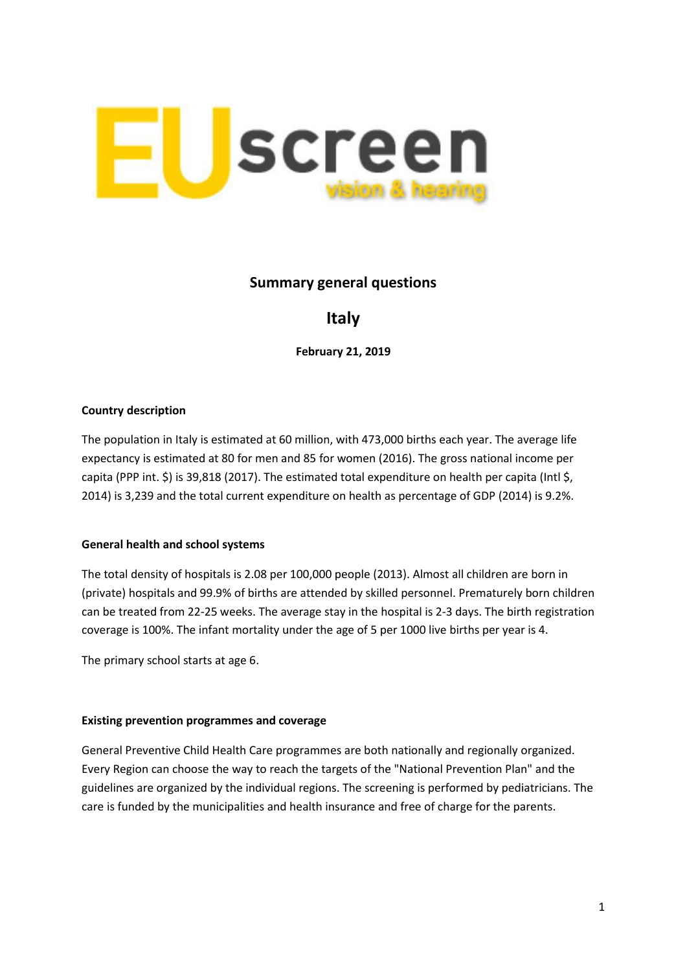

## **Summary general questions**

# **Italy**

**February 21, 2019**

### **Country description**

The population in Italy is estimated at 60 million, with 473,000 births each year. The average life expectancy is estimated at 80 for men and 85 for women (2016). The gross national income per capita (PPP int. \$) is 39,818 (2017). The estimated total expenditure on health per capita (Intl \$, 2014) is 3,239 and the total current expenditure on health as percentage of GDP (2014) is 9.2%.

#### **General health and school systems**

The total density of hospitals is 2.08 per 100,000 people (2013). Almost all children are born in (private) hospitals and 99.9% of births are attended by skilled personnel. Prematurely born children can be treated from 22-25 weeks. The average stay in the hospital is 2-3 days. The birth registration coverage is 100%. The infant mortality under the age of 5 per 1000 live births per year is 4.

The primary school starts at age 6.

#### **Existing prevention programmes and coverage**

General Preventive Child Health Care programmes are both nationally and regionally organized. Every Region can choose the way to reach the targets of the "National Prevention Plan" and the guidelines are organized by the individual regions. The screening is performed by pediatricians. The care is funded by the municipalities and health insurance and free of charge for the parents.